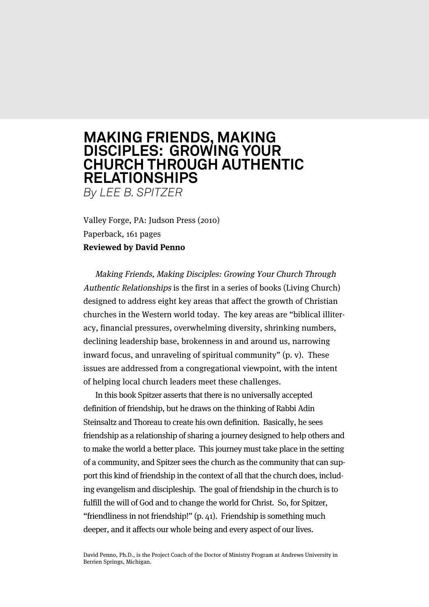## **MAKING FRIENDS, MAKING DISCIPLES: GROWING YOUR CHURCH THROUGH AUTHENTIC RELATIONSHIPS** *By LEE B. SPITZER*

Valley Forge, PA: Judson Press (2010)

Paperback, 161 pages

## **Reviewed by David Penno**

Making Friends, Making Disciples: Growing Your Church Through Authentic Relationships is the first in a series of books (Living Church) designed to address eight key areas that affect the growth of Christian churches in the Western world today. The key areas are "biblical illiteracy, financial pressures, overwhelming diversity, shrinking numbers, declining leadership base, brokenness in and around us, narrowing inward focus, and unraveling of spiritual community" (p. v). These issues are addressed from a congregational viewpoint, with the intent of helping local church leaders meet these challenges.

In this book Spitzer asserts that there is no universally accepted definition of friendship, but he draws on the thinking of Rabbi Adin Steinsaltz and Thoreau to create his own definition. Basically, he sees friendship as a relationship of sharing a journey designed to help others and to make the world a better place. This journey must take place in the setting of a community, and Spitzer sees the church as the community that can support this kind of friendship in the context of all that the church does, including evangelism and discipleship. The goal of friendship in the church is to fulfill the will of God and to change the world for Christ. So, for Spitzer, "friendliness in not friendship!" (p. 41). Friendship is something much deeper, and it affects our whole being and every aspect of our lives.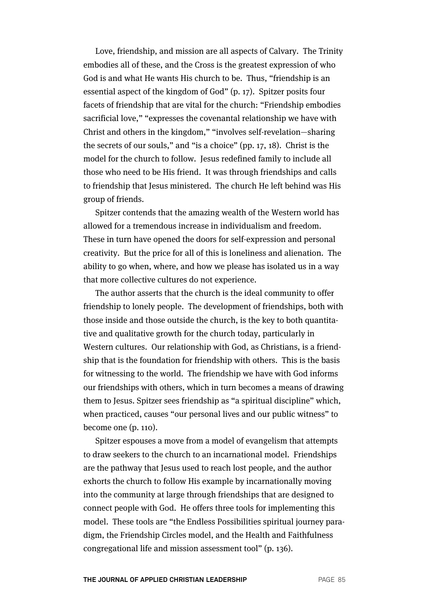Love, friendship, and mission are all aspects of Calvary. The Trinity embodies all of these, and the Cross is the greatest expression of who God is and what He wants His church to be. Thus, "friendship is an essential aspect of the kingdom of God" (p. 17). Spitzer posits four facets of friendship that are vital for the church: "Friendship embodies sacrificial love," "expresses the covenantal relationship we have with Christ and others in the kingdom," "involves self-revelation—sharing the secrets of our souls," and "is a choice" (pp. 17, 18). Christ is the model for the church to follow. Jesus redefined family to include all those who need to be His friend. It was through friendships and calls to friendship that Jesus ministered. The church He left behind was His group of friends.

Spitzer contends that the amazing wealth of the Western world has allowed for a tremendous increase in individualism and freedom. These in turn have opened the doors for self-expression and personal creativity. But the price for all of this is loneliness and alienation. The ability to go when, where, and how we please has isolated us in a way that more collective cultures do not experience.

The author asserts that the church is the ideal community to offer friendship to lonely people. The development of friendships, both with those inside and those outside the church, is the key to both quantitative and qualitative growth for the church today, particularly in Western cultures. Our relationship with God, as Christians, is a friendship that is the foundation for friendship with others. This is the basis for witnessing to the world. The friendship we have with God informs our friendships with others, which in turn becomes a means of drawing them to Jesus. Spitzer sees friendship as "a spiritual discipline" which, when practiced, causes "our personal lives and our public witness" to become one (p. 110).

Spitzer espouses a move from a model of evangelism that attempts to draw seekers to the church to an incarnational model. Friendships are the pathway that Jesus used to reach lost people, and the author exhorts the church to follow His example by incarnationally moving into the community at large through friendships that are designed to connect people with God. He offers three tools for implementing this model. These tools are "the Endless Possibilities spiritual journey paradigm, the Friendship Circles model, and the Health and Faithfulness congregational life and mission assessment tool" (p. 136).